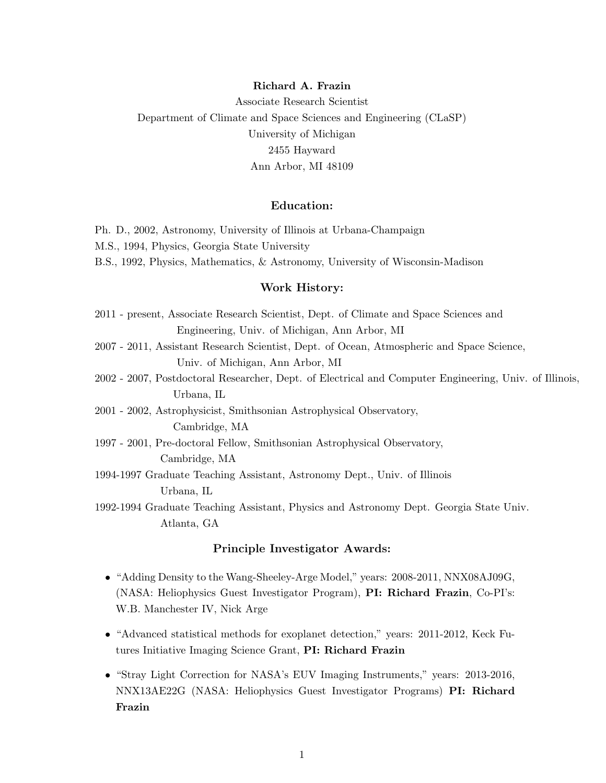#### Richard A. Frazin

Associate Research Scientist Department of Climate and Space Sciences and Engineering (CLaSP) University of Michigan 2455 Hayward Ann Arbor, MI 48109

### Education:

Ph. D., 2002, Astronomy, University of Illinois at Urbana-Champaign

- M.S., 1994, Physics, Georgia State University
- B.S., 1992, Physics, Mathematics, & Astronomy, University of Wisconsin-Madison

#### Work History:

- 2011 present, Associate Research Scientist, Dept. of Climate and Space Sciences and Engineering, Univ. of Michigan, Ann Arbor, MI
- 2007 2011, Assistant Research Scientist, Dept. of Ocean, Atmospheric and Space Science, Univ. of Michigan, Ann Arbor, MI
- 2002 2007, Postdoctoral Researcher, Dept. of Electrical and Computer Engineering, Univ. of Illinois, Urbana, IL
- 2001 2002, Astrophysicist, Smithsonian Astrophysical Observatory, Cambridge, MA
- 1997 2001, Pre-doctoral Fellow, Smithsonian Astrophysical Observatory, Cambridge, MA
- 1994-1997 Graduate Teaching Assistant, Astronomy Dept., Univ. of Illinois Urbana, IL
- 1992-1994 Graduate Teaching Assistant, Physics and Astronomy Dept. Georgia State Univ. Atlanta, GA

### Principle Investigator Awards:

- "Adding Density to the Wang-Sheeley-Arge Model," years: 2008-2011, NNX08AJ09G, (NASA: Heliophysics Guest Investigator Program), PI: Richard Frazin, Co-PI's: W.B. Manchester IV, Nick Arge
- "Advanced statistical methods for exoplanet detection," years: 2011-2012, Keck Futures Initiative Imaging Science Grant, PI: Richard Frazin
- "Stray Light Correction for NASA's EUV Imaging Instruments," years: 2013-2016, NNX13AE22G (NASA: Heliophysics Guest Investigator Programs) PI: Richard Frazin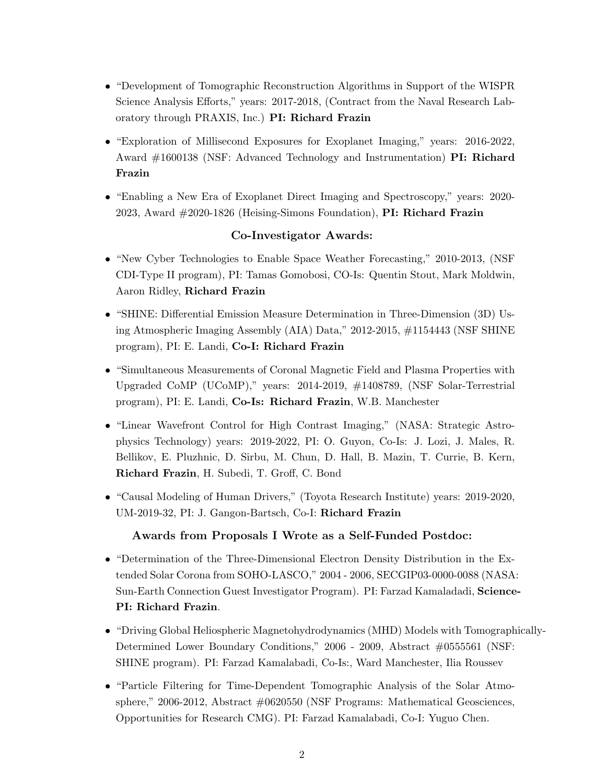- "Development of Tomographic Reconstruction Algorithms in Support of the WISPR Science Analysis Efforts," years: 2017-2018, (Contract from the Naval Research Laboratory through PRAXIS, Inc.) PI: Richard Frazin
- "Exploration of Millisecond Exposures for Exoplanet Imaging," years: 2016-2022, Award #1600138 (NSF: Advanced Technology and Instrumentation) PI: Richard Frazin
- "Enabling a New Era of Exoplanet Direct Imaging and Spectroscopy," years: 2020- 2023, Award  $\#2020$ -1826 (Heising-Simons Foundation), PI: Richard Frazin

# Co-Investigator Awards:

- "New Cyber Technologies to Enable Space Weather Forecasting," 2010-2013, (NSF CDI-Type II program), PI: Tamas Gomobosi, CO-Is: Quentin Stout, Mark Moldwin, Aaron Ridley, Richard Frazin
- "SHINE: Differential Emission Measure Determination in Three-Dimension (3D) Using Atmospheric Imaging Assembly (AIA) Data," 2012-2015, #1154443 (NSF SHINE program), PI: E. Landi, Co-I: Richard Frazin
- "Simultaneous Measurements of Coronal Magnetic Field and Plasma Properties with Upgraded CoMP (UCoMP)," years: 2014-2019, #1408789, (NSF Solar-Terrestrial program), PI: E. Landi, Co-Is: Richard Frazin, W.B. Manchester
- "Linear Wavefront Control for High Contrast Imaging," (NASA: Strategic Astrophysics Technology) years: 2019-2022, PI: O. Guyon, Co-Is: J. Lozi, J. Males, R. Bellikov, E. Pluzhnic, D. Sirbu, M. Chun, D. Hall, B. Mazin, T. Currie, B. Kern, Richard Frazin, H. Subedi, T. Groff, C. Bond
- "Causal Modeling of Human Drivers," (Toyota Research Institute) years: 2019-2020, UM-2019-32, PI: J. Gangon-Bartsch, Co-I: Richard Frazin

# Awards from Proposals I Wrote as a Self-Funded Postdoc:

- "Determination of the Three-Dimensional Electron Density Distribution in the Extended Solar Corona from SOHO-LASCO," 2004 - 2006, SECGIP03-0000-0088 (NASA: Sun-Earth Connection Guest Investigator Program). PI: Farzad Kamaladadi, Science-PI: Richard Frazin.
- "Driving Global Heliospheric Magnetohydrodynamics (MHD) Models with Tomographically-Determined Lower Boundary Conditions," 2006 - 2009, Abstract #0555561 (NSF: SHINE program). PI: Farzad Kamalabadi, Co-Is:, Ward Manchester, Ilia Roussev
- "Particle Filtering for Time-Dependent Tomographic Analysis of the Solar Atmosphere," 2006-2012, Abstract #0620550 (NSF Programs: Mathematical Geosciences, Opportunities for Research CMG). PI: Farzad Kamalabadi, Co-I: Yuguo Chen.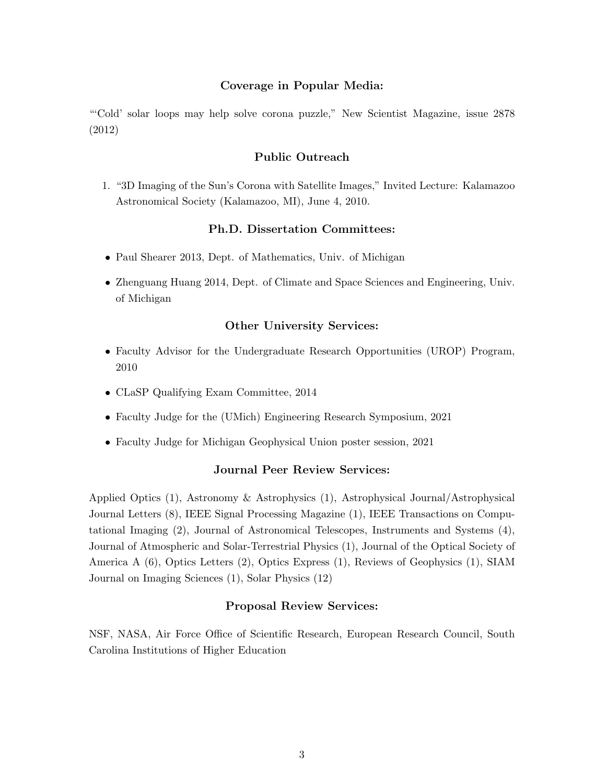## Coverage in Popular Media:

"'Cold' solar loops may help solve corona puzzle," New Scientist Magazine, issue 2878 (2012)

## Public Outreach

1. "3D Imaging of the Sun's Corona with Satellite Images," Invited Lecture: Kalamazoo Astronomical Society (Kalamazoo, MI), June 4, 2010.

### Ph.D. Dissertation Committees:

- Paul Shearer 2013, Dept. of Mathematics, Univ. of Michigan
- Zhenguang Huang 2014, Dept. of Climate and Space Sciences and Engineering, Univ. of Michigan

## Other University Services:

- Faculty Advisor for the Undergraduate Research Opportunities (UROP) Program, 2010
- CLaSP Qualifying Exam Committee, 2014
- Faculty Judge for the (UMich) Engineering Research Symposium, 2021
- Faculty Judge for Michigan Geophysical Union poster session, 2021

### Journal Peer Review Services:

Applied Optics (1), Astronomy & Astrophysics (1), Astrophysical Journal/Astrophysical Journal Letters (8), IEEE Signal Processing Magazine (1), IEEE Transactions on Computational Imaging (2), Journal of Astronomical Telescopes, Instruments and Systems (4), Journal of Atmospheric and Solar-Terrestrial Physics (1), Journal of the Optical Society of America A (6), Optics Letters (2), Optics Express (1), Reviews of Geophysics (1), SIAM Journal on Imaging Sciences (1), Solar Physics (12)

### Proposal Review Services:

NSF, NASA, Air Force Office of Scientific Research, European Research Council, South Carolina Institutions of Higher Education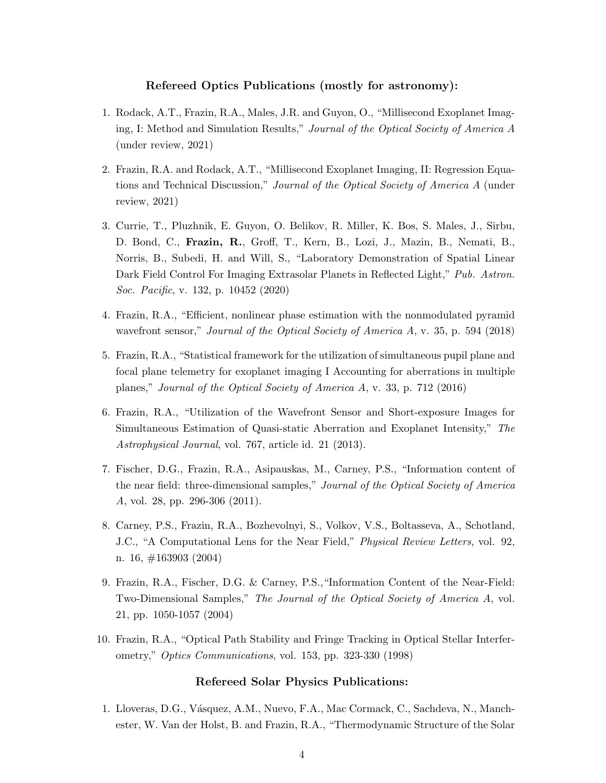### Refereed Optics Publications (mostly for astronomy):

- 1. Rodack, A.T., Frazin, R.A., Males, J.R. and Guyon, O., "Millisecond Exoplanet Imaging, I: Method and Simulation Results," Journal of the Optical Society of America A (under review, 2021)
- 2. Frazin, R.A. and Rodack, A.T., "Millisecond Exoplanet Imaging, II: Regression Equations and Technical Discussion," Journal of the Optical Society of America A (under review, 2021)
- 3. Currie, T., Pluzhnik, E. Guyon, O. Belikov, R. Miller, K. Bos, S. Males, J., Sirbu, D. Bond, C., Frazin, R., Groff, T., Kern, B., Lozi, J., Mazin, B., Nemati, B., Norris, B., Subedi, H. and Will, S., "Laboratory Demonstration of Spatial Linear Dark Field Control For Imaging Extrasolar Planets in Reflected Light," Pub. Astron. Soc. Pacific, v. 132, p. 10452 (2020)
- 4. Frazin, R.A., "Efficient, nonlinear phase estimation with the nonmodulated pyramid wavefront sensor," *Journal of the Optical Society of America A*, v. 35, p. 594 (2018)
- 5. Frazin, R.A., "Statistical framework for the utilization of simultaneous pupil plane and focal plane telemetry for exoplanet imaging I Accounting for aberrations in multiple planes," Journal of the Optical Society of America A, v. 33, p. 712 (2016)
- 6. Frazin, R.A., "Utilization of the Wavefront Sensor and Short-exposure Images for Simultaneous Estimation of Quasi-static Aberration and Exoplanet Intensity," The Astrophysical Journal, vol. 767, article id. 21 (2013).
- 7. Fischer, D.G., Frazin, R.A., Asipauskas, M., Carney, P.S., "Information content of the near field: three-dimensional samples," Journal of the Optical Society of America A, vol. 28, pp. 296-306 (2011).
- 8. Carney, P.S., Frazin, R.A., Bozhevolnyi, S., Volkov, V.S., Boltasseva, A., Schotland, J.C., "A Computational Lens for the Near Field," Physical Review Letters, vol. 92, n. 16, #163903 (2004)
- 9. Frazin, R.A., Fischer, D.G. & Carney, P.S.,"Information Content of the Near-Field: Two-Dimensional Samples," The Journal of the Optical Society of America A, vol. 21, pp. 1050-1057 (2004)
- 10. Frazin, R.A., "Optical Path Stability and Fringe Tracking in Optical Stellar Interferometry," Optics Communications, vol. 153, pp. 323-330 (1998)

### Refereed Solar Physics Publications:

1. Lloveras, D.G., V´asquez, A.M., Nuevo, F.A., Mac Cormack, C., Sachdeva, N., Manchester, W. Van der Holst, B. and Frazin, R.A., "Thermodynamic Structure of the Solar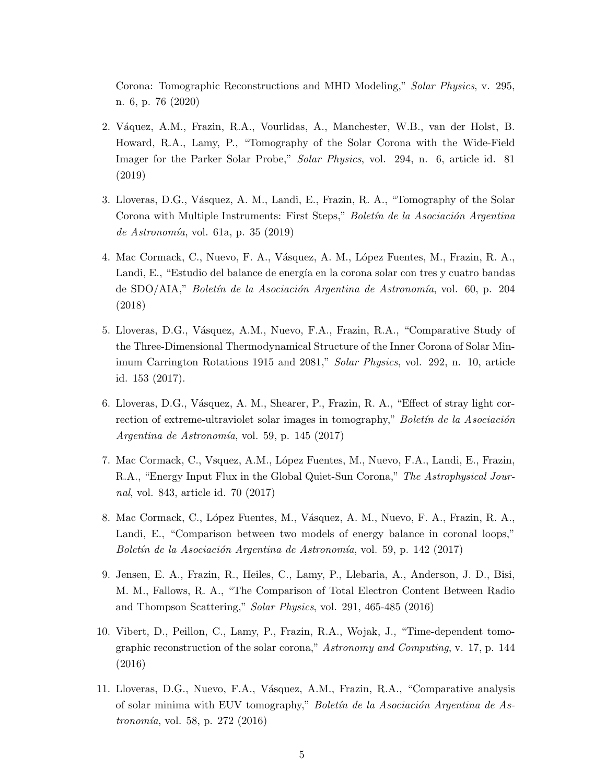Corona: Tomographic Reconstructions and MHD Modeling," Solar Physics, v. 295, n. 6, p. 76 (2020)

- 2. V´aquez, A.M., Frazin, R.A., Vourlidas, A., Manchester, W.B., van der Holst, B. Howard, R.A., Lamy, P., "Tomography of the Solar Corona with the Wide-Field Imager for the Parker Solar Probe," Solar Physics, vol. 294, n. 6, article id. 81 (2019)
- 3. Lloveras, D.G., V´asquez, A. M., Landi, E., Frazin, R. A., "Tomography of the Solar Corona with Multiple Instruments: First Steps," Boletín de la Asociación Argentina de Astronomía, vol. 61a, p. 35 (2019)
- 4. Mac Cormack, C., Nuevo, F. A., Vásquez, A. M., López Fuentes, M., Frazin, R. A., Landi, E., "Estudio del balance de energía en la corona solar con tres y cuatro bandas de SDO/AIA," Boletín de la Asociación Argentina de Astronomía, vol. 60, p. 204 (2018)
- 5. Lloveras, D.G., V´asquez, A.M., Nuevo, F.A., Frazin, R.A., "Comparative Study of the Three-Dimensional Thermodynamical Structure of the Inner Corona of Solar Minimum Carrington Rotations 1915 and 2081," Solar Physics, vol. 292, n. 10, article id. 153 (2017).
- 6. Lloveras, D.G., V´asquez, A. M., Shearer, P., Frazin, R. A., "Effect of stray light correction of extreme-ultraviolet solar images in tomography," Boletín de la Asociación Argentina de Astronomía, vol. 59, p. 145 (2017)
- 7. Mac Cormack, C., Vsquez, A.M., López Fuentes, M., Nuevo, F.A., Landi, E., Frazin, R.A., "Energy Input Flux in the Global Quiet-Sun Corona," The Astrophysical Journal, vol. 843, article id. 70 (2017)
- 8. Mac Cormack, C., L´opez Fuentes, M., V´asquez, A. M., Nuevo, F. A., Frazin, R. A., Landi, E., "Comparison between two models of energy balance in coronal loops," Boletín de la Asociación Argentina de Astronomía, vol. 59, p. 142 (2017)
- 9. Jensen, E. A., Frazin, R., Heiles, C., Lamy, P., Llebaria, A., Anderson, J. D., Bisi, M. M., Fallows, R. A., "The Comparison of Total Electron Content Between Radio and Thompson Scattering," Solar Physics, vol. 291, 465-485 (2016)
- 10. Vibert, D., Peillon, C., Lamy, P., Frazin, R.A., Wojak, J., "Time-dependent tomographic reconstruction of the solar corona," Astronomy and Computing, v. 17, p. 144 (2016)
- 11. Lloveras, D.G., Nuevo, F.A., V´asquez, A.M., Frazin, R.A., "Comparative analysis of solar minima with EUV tomography," Boletín de la Asociación Argentina de As*tronomía*, vol. 58, p. 272 (2016)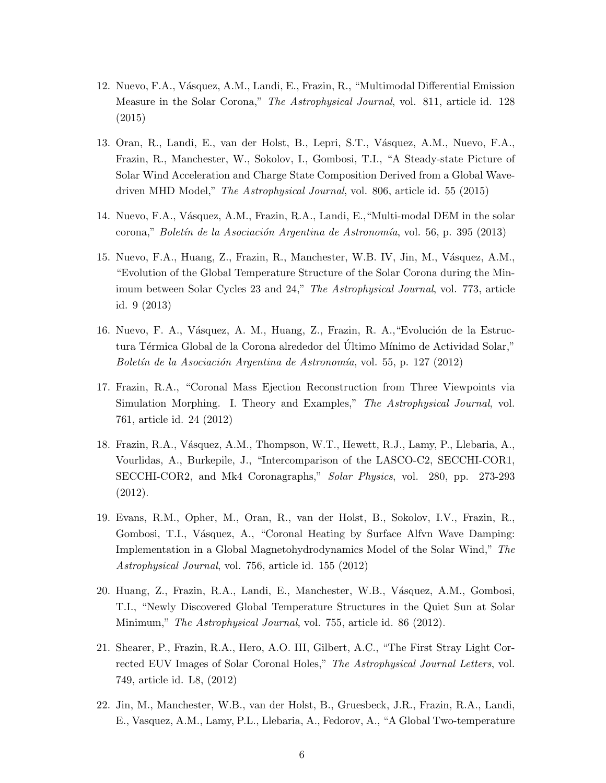- 12. Nuevo, F.A., V´asquez, A.M., Landi, E., Frazin, R., "Multimodal Differential Emission Measure in the Solar Corona," The Astrophysical Journal, vol. 811, article id. 128 (2015)
- 13. Oran, R., Landi, E., van der Holst, B., Lepri, S.T., V´asquez, A.M., Nuevo, F.A., Frazin, R., Manchester, W., Sokolov, I., Gombosi, T.I., "A Steady-state Picture of Solar Wind Acceleration and Charge State Composition Derived from a Global Wavedriven MHD Model," The Astrophysical Journal, vol. 806, article id. 55 (2015)
- 14. Nuevo, F.A., Vásquez, A.M., Frazin, R.A., Landi, E., "Multi-modal DEM in the solar corona," *Boletín de la Asociación Argentina de Astronomía*, vol. 56, p. 395 (2013)
- 15. Nuevo, F.A., Huang, Z., Frazin, R., Manchester, W.B. IV, Jin, M., Vásquez, A.M., "Evolution of the Global Temperature Structure of the Solar Corona during the Minimum between Solar Cycles 23 and 24," The Astrophysical Journal, vol. 773, article id. 9 (2013)
- 16. Nuevo, F. A., Vásquez, A. M., Huang, Z., Frazin, R. A., "Evolución de la Estructura Térmica Global de la Corona alrededor del Ultimo Mínimo de Actividad Solar," Boletín de la Asociación Argentina de Astronomía, vol. 55, p. 127 (2012)
- 17. Frazin, R.A., "Coronal Mass Ejection Reconstruction from Three Viewpoints via Simulation Morphing. I. Theory and Examples," The Astrophysical Journal, vol. 761, article id. 24 (2012)
- 18. Frazin, R.A., Vásquez, A.M., Thompson, W.T., Hewett, R.J., Lamy, P., Llebaria, A., Vourlidas, A., Burkepile, J., "Intercomparison of the LASCO-C2, SECCHI-COR1, SECCHI-COR2, and Mk4 Coronagraphs," Solar Physics, vol. 280, pp. 273-293 (2012).
- 19. Evans, R.M., Opher, M., Oran, R., van der Holst, B., Sokolov, I.V., Frazin, R., Gombosi, T.I., Vásquez, A., "Coronal Heating by Surface Alfvn Wave Damping: Implementation in a Global Magnetohydrodynamics Model of the Solar Wind," The Astrophysical Journal, vol. 756, article id. 155 (2012)
- 20. Huang, Z., Frazin, R.A., Landi, E., Manchester, W.B., V´asquez, A.M., Gombosi, T.I., "Newly Discovered Global Temperature Structures in the Quiet Sun at Solar Minimum," The Astrophysical Journal, vol. 755, article id. 86 (2012).
- 21. Shearer, P., Frazin, R.A., Hero, A.O. III, Gilbert, A.C., "The First Stray Light Corrected EUV Images of Solar Coronal Holes," The Astrophysical Journal Letters, vol. 749, article id. L8, (2012)
- 22. Jin, M., Manchester, W.B., van der Holst, B., Gruesbeck, J.R., Frazin, R.A., Landi, E., Vasquez, A.M., Lamy, P.L., Llebaria, A., Fedorov, A., "A Global Two-temperature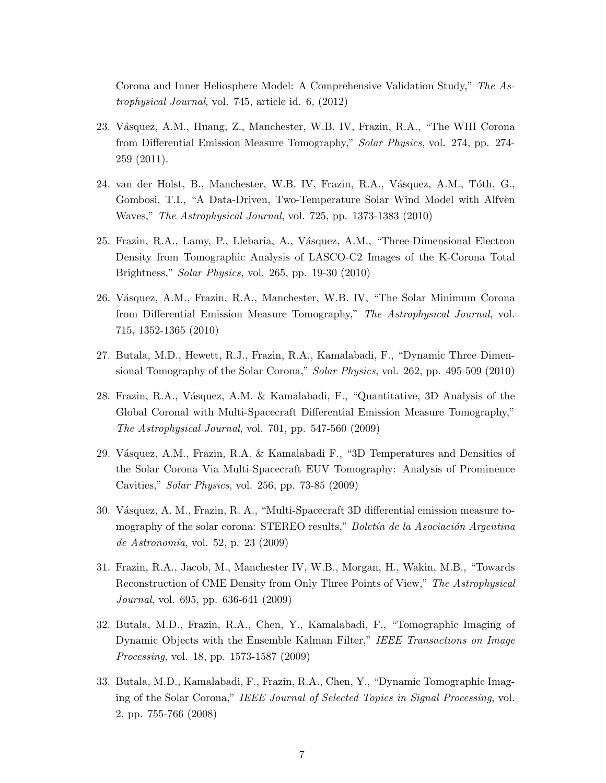Corona and Inner Heliosphere Model: A Comprehensive Validation Study," The Astrophysical Journal, vol. 745, article id. 6, (2012)

- 23. Vásquez, A.M., Huang, Z., Manchester, W.B. IV, Frazin, R.A., "The WHI Corona from Differential Emission Measure Tomography," Solar Physics, vol. 274, pp. 274- 259 (2011).
- 24. van der Holst, B., Manchester, W.B. IV, Frazin, R.A., Vásquez, A.M., Tóth, G., Gombosi, T.I., "A Data-Driven, Two-Temperature Solar Wind Model with Alfven Waves," The Astrophysical Journal, vol. 725, pp. 1373-1383 (2010)
- 25. Frazin, R.A., Lamy, P., Llebaria, A., Vásquez, A.M., "Three-Dimensional Electron Density from Tomographic Analysis of LASCO-C2 Images of the K-Corona Total Brightness," Solar Physics, vol. 265, pp. 19-30 (2010)
- 26. Vásquez, A.M., Frazin, R.A., Manchester, W.B. IV, "The Solar Minimum Corona from Differential Emission Measure Tomography," The Astrophysical Journal, vol. 715, 1352-1365 (2010)
- 27. Butala, M.D., Hewett, R.J., Frazin, R.A., Kamalabadi, F., "Dynamic Three Dimensional Tomography of the Solar Corona," Solar Physics, vol. 262, pp. 495-509 (2010)
- 28. Frazin, R.A., Vásquez, A.M. & Kamalabadi, F., "Quantitative, 3D Analysis of the Global Coronal with Multi-Spacecraft Differential Emission Measure Tomography," The Astrophysical Journal, vol. 701, pp. 547-560 (2009)
- 29. Vásquez, A.M., Frazin, R.A. & Kamalabadi F., "3D Temperatures and Densities of the Solar Corona Via Multi-Spacecraft EUV Tomography: Analysis of Prominence Cavities," Solar Physics, vol. 256, pp. 73-85 (2009)
- 30. Vásquez, A. M., Frazin, R. A., "Multi-Spacecraft 3D differential emission measure tomography of the solar corona: STEREO results," Boletín de la Asociación Argentina de Astronomía, vol. 52, p. 23 (2009)
- 31. Frazin, R.A., Jacob, M., Manchester IV, W.B., Morgan, H., Wakin, M.B., "Towards Reconstruction of CME Density from Only Three Points of View," The Astrophysical Journal, vol. 695, pp. 636-641 (2009)
- 32. Butala, M.D., Frazin, R.A., Chen, Y., Kamalabadi, F., "Tomographic Imaging of Dynamic Objects with the Ensemble Kalman Filter," IEEE Transactions on Image Processing, vol. 18, pp. 1573-1587 (2009)
- 33. Butala, M.D., Kamalabadi, F., Frazin, R.A., Chen, Y., "Dynamic Tomographic Imaging of the Solar Corona," IEEE Journal of Selected Topics in Signal Processing, vol. 2, pp. 755-766 (2008)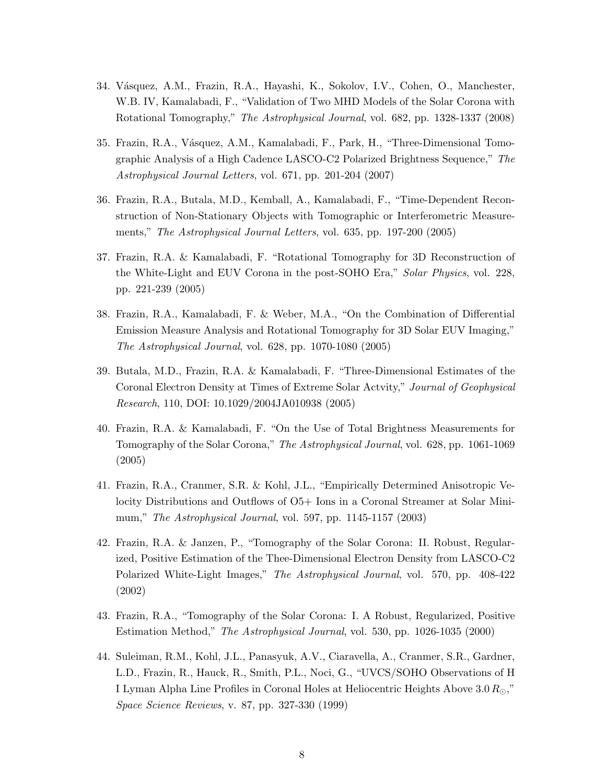- 34. Vásquez, A.M., Frazin, R.A., Hayashi, K., Sokolov, I.V., Cohen, O., Manchester, W.B. IV, Kamalabadi, F., "Validation of Two MHD Models of the Solar Corona with Rotational Tomography," The Astrophysical Journal, vol. 682, pp. 1328-1337 (2008)
- 35. Frazin, R.A., V´asquez, A.M., Kamalabadi, F., Park, H., "Three-Dimensional Tomographic Analysis of a High Cadence LASCO-C2 Polarized Brightness Sequence," The Astrophysical Journal Letters, vol. 671, pp. 201-204 (2007)
- 36. Frazin, R.A., Butala, M.D., Kemball, A., Kamalabadi, F., "Time-Dependent Reconstruction of Non-Stationary Objects with Tomographic or Interferometric Measurements," *The Astrophysical Journal Letters*, vol. 635, pp. 197-200 (2005)
- 37. Frazin, R.A. & Kamalabadi, F. "Rotational Tomography for 3D Reconstruction of the White-Light and EUV Corona in the post-SOHO Era," Solar Physics, vol. 228, pp. 221-239 (2005)
- 38. Frazin, R.A., Kamalabadi, F. & Weber, M.A., "On the Combination of Differential Emission Measure Analysis and Rotational Tomography for 3D Solar EUV Imaging," The Astrophysical Journal, vol. 628, pp. 1070-1080 (2005)
- 39. Butala, M.D., Frazin, R.A. & Kamalabadi, F. "Three-Dimensional Estimates of the Coronal Electron Density at Times of Extreme Solar Actvity," Journal of Geophysical Research, 110, DOI: 10.1029/2004JA010938 (2005)
- 40. Frazin, R.A. & Kamalabadi, F. "On the Use of Total Brightness Measurements for Tomography of the Solar Corona," The Astrophysical Journal, vol. 628, pp. 1061-1069 (2005)
- 41. Frazin, R.A., Cranmer, S.R. & Kohl, J.L., "Empirically Determined Anisotropic Velocity Distributions and Outflows of O5+ Ions in a Coronal Streamer at Solar Minimum," The Astrophysical Journal, vol. 597, pp. 1145-1157 (2003)
- 42. Frazin, R.A. & Janzen, P., "Tomography of the Solar Corona: II. Robust, Regularized, Positive Estimation of the Thee-Dimensional Electron Density from LASCO-C2 Polarized White-Light Images," The Astrophysical Journal, vol. 570, pp. 408-422 (2002)
- 43. Frazin, R.A., "Tomography of the Solar Corona: I. A Robust, Regularized, Positive Estimation Method," The Astrophysical Journal, vol. 530, pp. 1026-1035 (2000)
- 44. Suleiman, R.M., Kohl, J.L., Panasyuk, A.V., Ciaravella, A., Cranmer, S.R., Gardner, L.D., Frazin, R., Hauck, R., Smith, P.L., Noci, G., "UVCS/SOHO Observations of H I Lyman Alpha Line Profiles in Coronal Holes at Heliocentric Heights Above  $3.0 R_{\odot}$ ," Space Science Reviews, v. 87, pp. 327-330 (1999)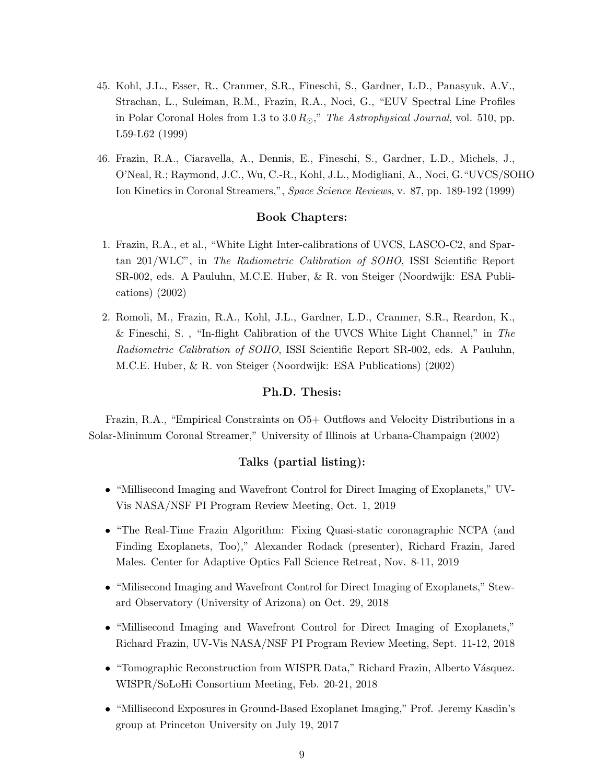- 45. Kohl, J.L., Esser, R., Cranmer, S.R., Fineschi, S., Gardner, L.D., Panasyuk, A.V., Strachan, L., Suleiman, R.M., Frazin, R.A., Noci, G., "EUV Spectral Line Profiles in Polar Coronal Holes from 1.3 to  $3.0 R_{\odot}$ ," The Astrophysical Journal, vol. 510, pp. L59-L62 (1999)
- 46. Frazin, R.A., Ciaravella, A., Dennis, E., Fineschi, S., Gardner, L.D., Michels, J., O'Neal, R.; Raymond, J.C., Wu, C.-R., Kohl, J.L., Modigliani, A., Noci, G."UVCS/SOHO Ion Kinetics in Coronal Streamers,", Space Science Reviews, v. 87, pp. 189-192 (1999)

### Book Chapters:

- 1. Frazin, R.A., et al., "White Light Inter-calibrations of UVCS, LASCO-C2, and Spartan 201/WLC", in The Radiometric Calibration of SOHO, ISSI Scientific Report SR-002, eds. A Pauluhn, M.C.E. Huber, & R. von Steiger (Noordwijk: ESA Publications) (2002)
- 2. Romoli, M., Frazin, R.A., Kohl, J.L., Gardner, L.D., Cranmer, S.R., Reardon, K., & Fineschi, S. , "In-flight Calibration of the UVCS White Light Channel," in The Radiometric Calibration of SOHO, ISSI Scientific Report SR-002, eds. A Pauluhn, M.C.E. Huber, & R. von Steiger (Noordwijk: ESA Publications) (2002)

#### Ph.D. Thesis:

Frazin, R.A., "Empirical Constraints on O5+ Outflows and Velocity Distributions in a Solar-Minimum Coronal Streamer," University of Illinois at Urbana-Champaign (2002)

### Talks (partial listing):

- "Millisecond Imaging and Wavefront Control for Direct Imaging of Exoplanets," UV-Vis NASA/NSF PI Program Review Meeting, Oct. 1, 2019
- "The Real-Time Frazin Algorithm: Fixing Quasi-static coronagraphic NCPA (and Finding Exoplanets, Too)," Alexander Rodack (presenter), Richard Frazin, Jared Males. Center for Adaptive Optics Fall Science Retreat, Nov. 8-11, 2019
- "Milisecond Imaging and Wavefront Control for Direct Imaging of Exoplanets," Steward Observatory (University of Arizona) on Oct. 29, 2018
- "Millisecond Imaging and Wavefront Control for Direct Imaging of Exoplanets," Richard Frazin, UV-Vis NASA/NSF PI Program Review Meeting, Sept. 11-12, 2018
- "Tomographic Reconstruction from WISPR Data," Richard Frazin, Alberto Vásquez. WISPR/SoLoHi Consortium Meeting, Feb. 20-21, 2018
- "Millisecond Exposures in Ground-Based Exoplanet Imaging," Prof. Jeremy Kasdin's group at Princeton University on July 19, 2017